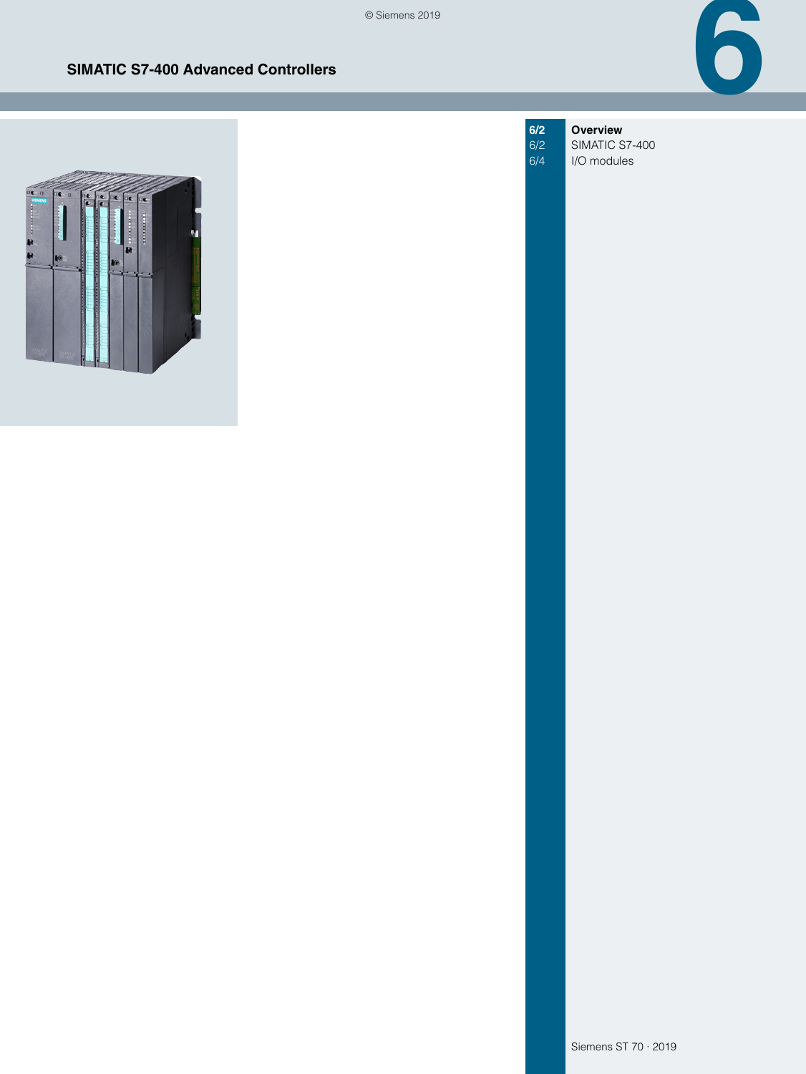© Siemens 2019

# **SIMATIC S7-400 Advanced Controllers**



- 
- **[6/2](#page-1-0) Overview**<br>
6/2 SIMATIC S<br>
6/4 I/O module SIMATIC S7-400 I/O modules

**6**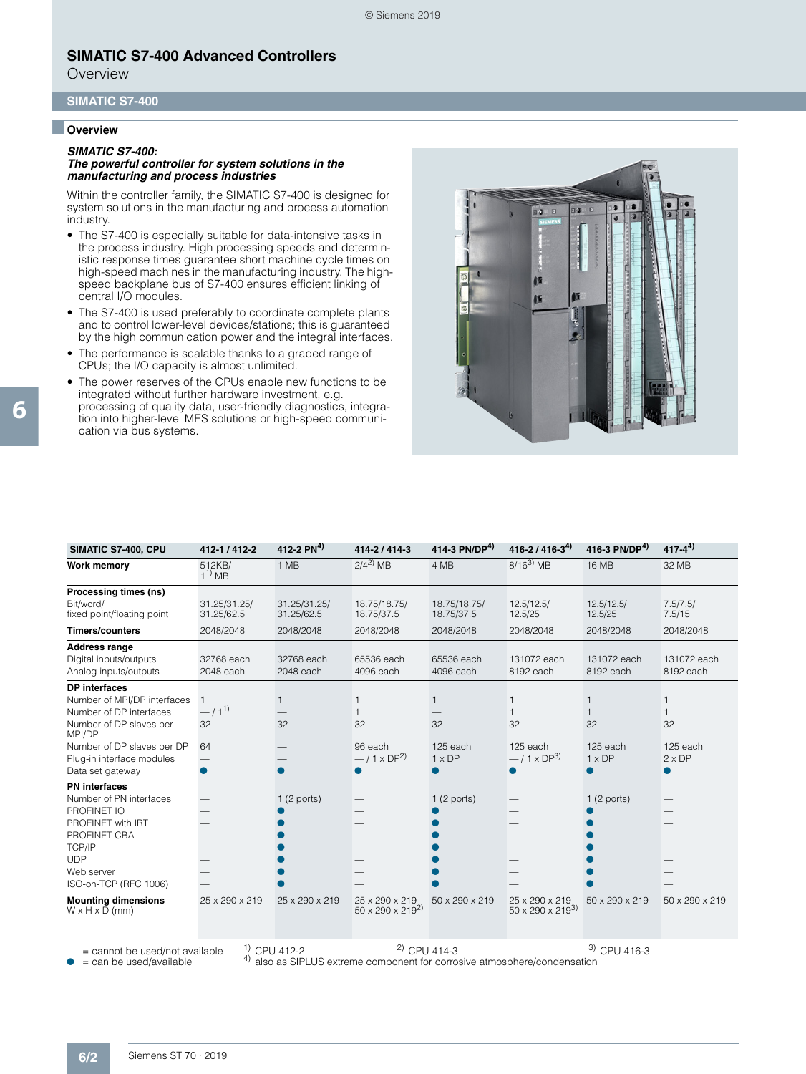**Overview** 

#### <span id="page-1-0"></span>**SIMATIC S7-400**

#### ■ **Overview**

#### *SIMATIC S7-400:*

#### *The powerful controller for system solutions in the manufacturing and process industries*

Within the controller family, the SIMATIC S7-400 is designed for system solutions in the manufacturing and process automation industry.

- The S7-400 is especially suitable for data-intensive tasks in the process industry. High processing speeds and deterministic response times guarantee short machine cycle times on high-speed machines in the manufacturing industry. The highspeed backplane bus of S7-400 ensures efficient linking of central I/O modules.
- The S7-400 is used preferably to coordinate complete plants and to control lower-level devices/stations; this is guaranteed by the high communication power and the integral interfaces.
- The performance is scalable thanks to a graded range of CPUs; the I/O capacity is almost unlimited.
- The power reserves of the CPUs enable new functions to be integrated without further hardware investment, e.g. processing of quality data, user-friendly diagnostics, integration into higher-level MES solutions or high-speed communication via bus systems.



| SIMATIC S7-400, CPU                          | 412-1 / 412-2              | 412-2 PN <sup>4)</sup>     | 414-2 / 414-3                                    | 414-3 PN/DP4)              | $416 - 2 / 416 - 3^{4}$                          | 416-3 PN/DP $^{4)}$   | $417 - 4^{4}$      |
|----------------------------------------------|----------------------------|----------------------------|--------------------------------------------------|----------------------------|--------------------------------------------------|-----------------------|--------------------|
| <b>Work memory</b>                           | 512KB/<br>$1^{1}$ MB       | 1 MB                       | $2/4^{2}$ MB                                     | 4 MB                       | $8/16^{3}$ MB                                    | <b>16 MB</b>          | 32 MB              |
| Processing times (ns)                        |                            |                            |                                                  |                            |                                                  |                       |                    |
| Bit/word/<br>fixed point/floating point      | 31.25/31.25/<br>31.25/62.5 | 31.25/31.25/<br>31.25/62.5 | 18.75/18.75/<br>18.75/37.5                       | 18.75/18.75/<br>18.75/37.5 | 12.5/12.5/<br>12.5/25                            | 12.5/12.5/<br>12.5/25 | 7.5/7.5/<br>7.5/15 |
| <b>Timers/counters</b>                       | 2048/2048                  | 2048/2048                  | 2048/2048                                        | 2048/2048                  | 2048/2048                                        | 2048/2048             | 2048/2048          |
| <b>Address range</b>                         |                            |                            |                                                  |                            |                                                  |                       |                    |
| Digital inputs/outputs                       | 32768 each                 | 32768 each                 | 65536 each                                       | 65536 each                 | 131072 each                                      | 131072 each           | 131072 each        |
| Analog inputs/outputs                        | 2048 each                  | 2048 each                  | 4096 each                                        | 4096 each                  | 8192 each                                        | 8192 each             | 8192 each          |
| <b>DP</b> interfaces                         |                            |                            |                                                  |                            |                                                  |                       |                    |
| Number of MPI/DP interfaces                  |                            | 1                          | 1                                                |                            | $\mathbf{1}$                                     | 1                     | 1                  |
| Number of DP interfaces                      | $-11^{1}$                  |                            | 1                                                |                            | 1                                                |                       |                    |
| Number of DP slaves per<br>MPI/DP            | 32                         | 32                         | 32                                               | 32                         | 32                                               | 32                    | 32                 |
| Number of DP slaves per DP                   | 64                         |                            | 96 each                                          | 125 each                   | 125 each                                         | 125 each              | 125 each           |
| Plug-in interface modules                    |                            |                            | $-11 \times DP^{2}$                              | $1 \times DP$              | $-11 \times DP^{3}$                              | $1 \times DP$         | $2 \times DP$      |
| Data set gateway                             |                            |                            | $\bullet$                                        |                            | $\bullet$                                        |                       | $\bullet$          |
| <b>PN</b> interfaces                         |                            |                            |                                                  |                            |                                                  |                       |                    |
| Number of PN interfaces                      |                            | $1(2$ ports)               |                                                  | $1(2$ ports)               |                                                  | $1(2$ ports)          |                    |
| PROFINET IO                                  |                            |                            |                                                  |                            |                                                  |                       |                    |
| PROFINET with IRT                            |                            |                            |                                                  |                            |                                                  |                       |                    |
| PROFINET CBA                                 |                            |                            |                                                  |                            |                                                  |                       |                    |
| TCP/IP                                       |                            |                            |                                                  |                            |                                                  |                       |                    |
| <b>UDP</b>                                   |                            |                            |                                                  |                            |                                                  |                       |                    |
| Web server                                   |                            |                            |                                                  |                            |                                                  |                       |                    |
| ISO-on-TCP (RFC 1006)                        |                            |                            |                                                  |                            |                                                  |                       |                    |
| <b>Mounting dimensions</b><br>W x H x D (mm) | 25 x 290 x 219             | 25 x 290 x 219             | 25 x 290 x 219<br>$50 \times 290 \times 219^{2}$ | 50 x 290 x 219             | 25 x 290 x 219<br>$50 \times 290 \times 219^{3}$ | 50 x 290 x 219        | 50 x 290 x 219     |
| $-$ = cannot be used/not available           |                            | <sup>1)</sup> CPU 412-2    | $^{2)}$ CPU 414-3                                |                            |                                                  | $3)$ CPU 416-3        |                    |

 $n =$  can be used/available  $4<sup>1</sup>$  also as SIPLUS extreme component for corrosive atmosphere/condensation

6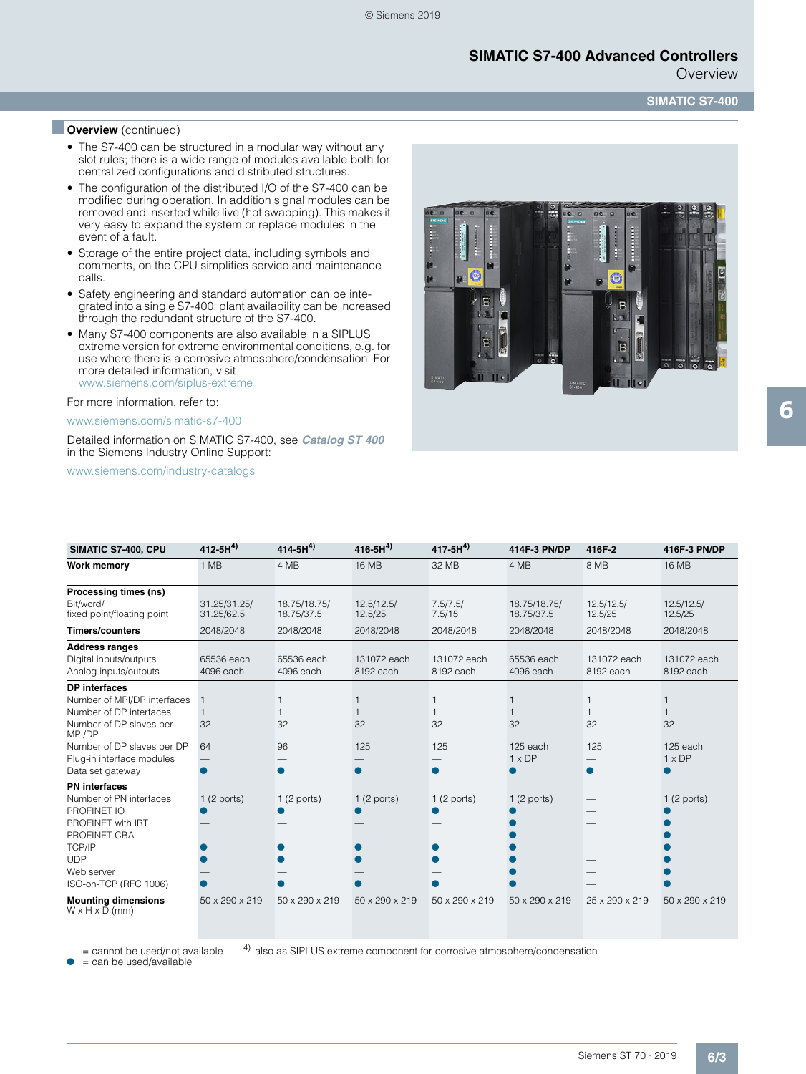Overview

**SIMATIC S7-400**

## **Dverview** (continued)

- The S7-400 can be structured in a modular way without any slot rules; there is a wide range of modules available both for centralized configurations and distributed structures.
- The configuration of the distributed I/O of the S7-400 can be modified during operation. In addition signal modules can be removed and inserted while live (hot swapping). This makes it very easy to expand the system or replace modules in the event of a fault.
- Storage of the entire project data, including symbols and comments, on the CPU simplifies service and maintenance calls.
- Safety engineering and standard automation can be integrated into a single S7-400; plant availability can be increased through the redundant structure of the S7-400.
- Many S7-400 components are also available in a SIPLUS extreme version for extreme environmental conditions, e.g. for use where there is a corrosive atmosphere/condensation. For more detailed information, visit www.siemens.com/siplus-extreme

For more information, refer to:

www.siemens.com/simatic-s7-400

Detailed information on SIMATIC S7-400, see *Catalog ST 400* in the Siemens Industry Online Support:

www.siemens.com/industry-catalogs



| SIMATIC S7-400, CPU                                                      | $412 - 5H^{4}$             | $414 - 5H^{4}$             | $416 - 5H^{4}$           | $417 - 5H^{4}$           | 414F-3 PN/DP               | 416F-2                   | 416F-3 PN/DP             |
|--------------------------------------------------------------------------|----------------------------|----------------------------|--------------------------|--------------------------|----------------------------|--------------------------|--------------------------|
| <b>Work memory</b>                                                       | 1 MB                       | 4 MB                       | <b>16 MB</b>             | 32 MB                    | 4 MB                       | 8 MB                     | 16 MB                    |
| Processing times (ns)                                                    |                            |                            |                          |                          |                            |                          |                          |
| Bit/word/<br>fixed point/floating point                                  | 31.25/31.25/<br>31.25/62.5 | 18.75/18.75/<br>18.75/37.5 | 12.5/12.5/<br>12.5/25    | 7.5/7.5/<br>7.5/15       | 18.75/18.75/<br>18.75/37.5 | 12.5/12.5/<br>12.5/25    | 12.5/12.5/<br>12.5/25    |
| <b>Timers/counters</b>                                                   | 2048/2048                  | 2048/2048                  | 2048/2048                | 2048/2048                | 2048/2048                  | 2048/2048                | 2048/2048                |
| <b>Address ranges</b><br>Digital inputs/outputs<br>Analog inputs/outputs | 65536 each<br>4096 each    | 65536 each<br>4096 each    | 131072 each<br>8192 each | 131072 each<br>8192 each | 65536 each<br>4096 each    | 131072 each<br>8192 each | 131072 each<br>8192 each |
| <b>DP</b> interfaces                                                     |                            |                            |                          |                          |                            |                          |                          |
| Number of MPI/DP interfaces                                              | $\mathbf{1}$               | 1                          | $\mathbf{1}$             | 1                        |                            | 1                        |                          |
| Number of DP interfaces                                                  |                            |                            |                          |                          |                            | 1                        |                          |
| Number of DP slaves per<br>MPI/DP                                        | 32                         | 32                         | 32                       | 32                       | 32                         | 32                       | 32                       |
| Number of DP slaves per DP                                               | 64                         | 96                         | 125                      | 125                      | 125 each                   | 125                      | 125 each                 |
| Plug-in interface modules                                                |                            |                            |                          |                          | $1 \times DP$              |                          | $1 \times DP$            |
| Data set gateway                                                         |                            | ●                          | $\bullet$                | $\bullet$                |                            | $\bullet$                |                          |
| <b>PN</b> interfaces                                                     |                            |                            |                          |                          |                            |                          |                          |
| Number of PN interfaces                                                  | $1(2$ ports)               | $1(2$ ports)               | $1(2$ ports)             | $1(2$ ports)             | $1(2$ ports)               |                          | $1(2$ ports)             |
| PROFINET IO                                                              |                            |                            |                          |                          |                            |                          |                          |
| PROFINET with IRT                                                        |                            |                            |                          |                          |                            |                          |                          |
| PROFINET CBA                                                             |                            |                            |                          |                          |                            |                          |                          |
| TCP/IP                                                                   |                            |                            |                          |                          |                            |                          |                          |
| <b>UDP</b>                                                               |                            |                            |                          |                          |                            |                          |                          |
| Web server                                                               |                            |                            |                          |                          |                            |                          |                          |
| ISO-on-TCP (RFC 1006)                                                    |                            |                            |                          |                          |                            |                          |                          |
| <b>Mounting dimensions</b><br>$W \times H \times D$ (mm)                 | 50 x 290 x 219             | 50 x 290 x 219             | 50 x 290 x 219           | 50 x 290 x 219           | 50 x 290 x 219             | 25 x 290 x 219           | 50 x 290 x 219           |

 $-$  = cannot be used/not available  $-$ <sup>4)</sup> also as SIPLUS extreme component for corrosive atmosphere/condensation

 $\bullet$  = can be used/available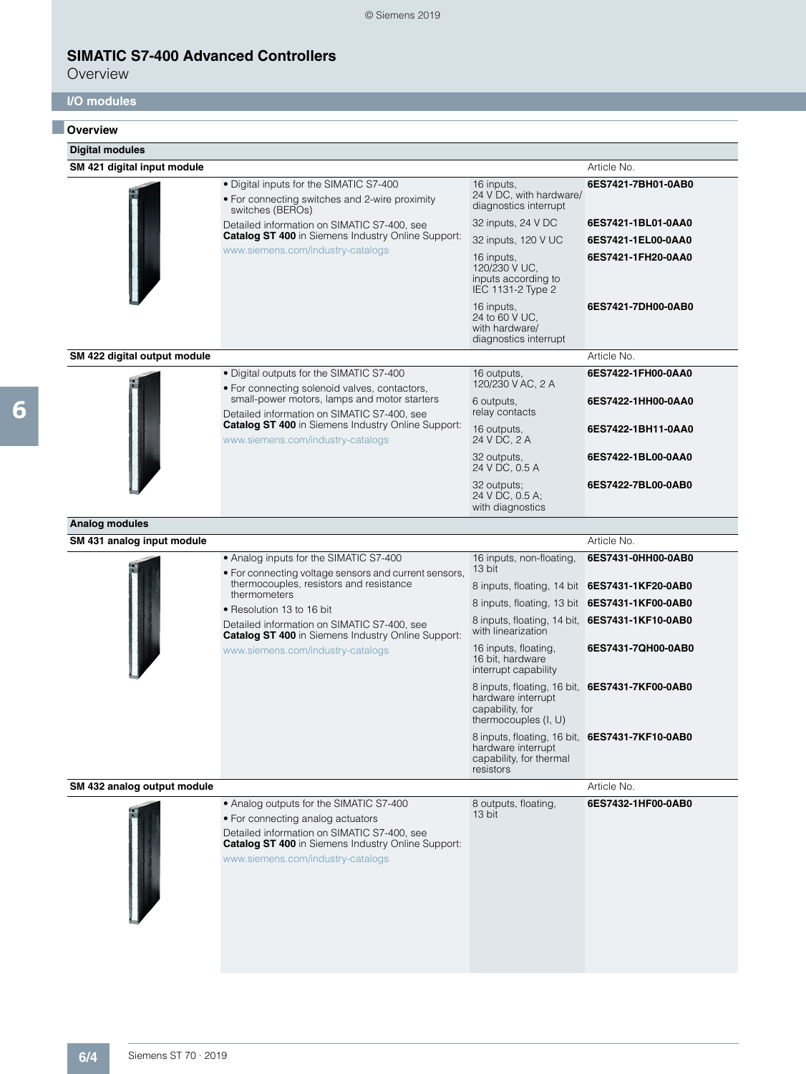**6ES7421-7BH01-0AB0**

**6ES7421-1FH20-0AA0**

**6ES7421-7DH00-0AB0**

#### **SIMATIC S7-400 Advanced Controllers**

**Overview** 

#### <span id="page-3-0"></span>**I/O modules**

#### ■ **Overview Digital modules SM 421 digital input module** Article No. • Digital inputs for the SIMATIC S7-400 • For connecting switches and 2-wire proximity switches (BEROs) Detailed information on SIMATIC S7-400, see **Catalog ST 400** in Siemens Industry Online Support: www.siemens.com/industry-catalogs 16 inputs, 24 V DC, with hardware/ diagnostics interrupt 32 inputs, 24 V DC **6ES7421-1BL01-0AA0** 32 inputs, 120 V UC **6ES7421-1EL00-0AA0** 16 inputs, 120/230 V UC, inputs according to IEC 1131-2 Type 2 16 inputs, 24 to 60 V UC, with hardware/ diagnostics interrupt

| SM 422 digital output module |                                                                                                                                               | Article No.                                        |                    |  |
|------------------------------|-----------------------------------------------------------------------------------------------------------------------------------------------|----------------------------------------------------|--------------------|--|
|                              | • Digital outputs for the SIMATIC S7-400<br>• For connecting solenoid valves, contactors,                                                     | 16 outputs,<br>120/230 V AC, 2 A                   | 6ES7422-1FH00-0AA0 |  |
|                              | small-power motors, lamps and motor starters                                                                                                  | 6 outputs,<br>relay contacts                       | 6ES7422-1HH00-0AA0 |  |
|                              | Detailed information on SIMATIC S7-400, see<br><b>Catalog ST 400</b> in Siemens Industry Online Support:<br>www.siemens.com/industry-catalogs |                                                    |                    |  |
|                              |                                                                                                                                               | 16 outputs,<br>24 V DC, 2 A                        | 6ES7422-1BH11-0AA0 |  |
|                              |                                                                                                                                               | 32 outputs,<br>24 V DC, 0.5 A                      | 6ES7422-1BL00-0AA0 |  |
|                              |                                                                                                                                               | 32 outputs:<br>24 V DC, 0.5 A;<br>with diagnostics | 6ES7422-7BL00-0AB0 |  |

# **Analog modules**

| SM 431 analog input module |                                                                                                                                               |                                                                                                                 | Article No.        |
|----------------------------|-----------------------------------------------------------------------------------------------------------------------------------------------|-----------------------------------------------------------------------------------------------------------------|--------------------|
|                            | • Analog inputs for the SIMATIC S7-400<br>• For connecting voltage sensors and current sensors,                                               | 16 inputs, non-floating,<br>13 bit                                                                              | 6ES7431-0HH00-0AB0 |
|                            | thermocouples, resistors and resistance<br>thermometers                                                                                       | 8 inputs, floating, 14 bit 6ES7431-1KF20-0AB0                                                                   |                    |
|                            | • Resolution 13 to 16 bit                                                                                                                     | 8 inputs, floating, 13 bit 6ES7431-1KF00-0AB0                                                                   |                    |
|                            | Detailed information on SIMATIC S7-400, see<br><b>Catalog ST 400</b> in Siemens Industry Online Support:<br>www.siemens.com/industry-catalogs | 8 inputs, floating, 14 bit, 6ES7431-1KF10-0AB0<br>with linearization                                            |                    |
|                            |                                                                                                                                               | 16 inputs, floating,<br>16 bit, hardware<br>interrupt capability                                                | 6ES7431-7QH00-0AB0 |
|                            |                                                                                                                                               | 8 inputs, floating, 16 bit, 6ES7431-7KF00-0AB0<br>hardware interrupt<br>capability, for<br>thermocouples (I, U) |                    |
|                            |                                                                                                                                               | 8 inputs, floating, 16 bit, 6ES7431-7KF10-0AB0<br>hardware interrupt<br>capability, for thermal<br>resistors    |                    |
|                            |                                                                                                                                               |                                                                                                                 |                    |

| ı<br>I                |   |                                   |        |        |  |
|-----------------------|---|-----------------------------------|--------|--------|--|
| i<br>İ<br>٠           |   |                                   | h      | ı      |  |
| i<br>l<br>۱           |   |                                   | i.     | t<br>n |  |
| ۱                     |   | i i                               | ø<br>ŕ |        |  |
| ֺ֚                    |   | ĺ<br>ı                            | ı      | ٠      |  |
| I                     |   | į                                 |        |        |  |
| ŧ                     |   | <b>Contract Contract Contract</b> | ø      |        |  |
|                       | í | õ                                 | í      | ٠      |  |
| ٠<br>۱<br>ı<br>ı      |   |                                   |        |        |  |
| ı<br>٠<br>٠<br>н<br>н |   |                                   |        |        |  |
| ٠<br>٠<br>٠           |   |                                   |        |        |  |
| ٠<br>ı                |   |                                   |        |        |  |

**SM 432 analog output module Article No. 2012 12:30 Article No. 2013 12:40 Article No. 2013 12:40 Article No. 2013** • Analog outputs for the SIMATIC S7-400 • For connecting analog actuators Detailed information on SIMATIC S7-400, see **Catalog ST 400** in Siemens Industry Online Support: www.siemens.com/industry-catalogs 8 outputs, floating, 13 bit **6ES7432-1HF00-0AB0**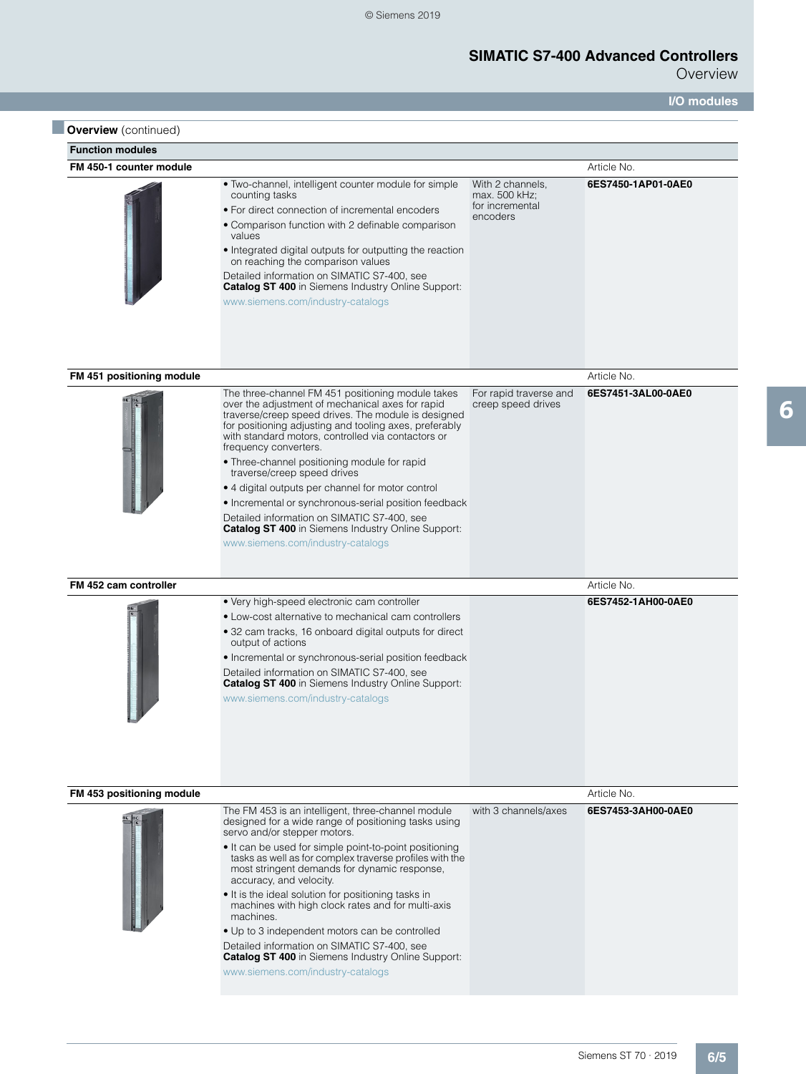**Overview** 

**I/O modules**

| <b>Overview</b> (continued) |                                                                                                                                                                                                                                                                                                                                                                                                                                                                                                                                                                                                                                                                        |                                                                  |                    |
|-----------------------------|------------------------------------------------------------------------------------------------------------------------------------------------------------------------------------------------------------------------------------------------------------------------------------------------------------------------------------------------------------------------------------------------------------------------------------------------------------------------------------------------------------------------------------------------------------------------------------------------------------------------------------------------------------------------|------------------------------------------------------------------|--------------------|
| <b>Function modules</b>     |                                                                                                                                                                                                                                                                                                                                                                                                                                                                                                                                                                                                                                                                        |                                                                  |                    |
| FM 450-1 counter module     |                                                                                                                                                                                                                                                                                                                                                                                                                                                                                                                                                                                                                                                                        |                                                                  | Article No.        |
|                             | • Two-channel, intelligent counter module for simple<br>counting tasks<br>• For direct connection of incremental encoders<br>• Comparison function with 2 definable comparison<br>values<br>• Integrated digital outputs for outputting the reaction<br>on reaching the comparison values<br>Detailed information on SIMATIC S7-400, see<br><b>Catalog ST 400</b> in Siemens Industry Online Support:<br>www.siemens.com/industry-catalogs                                                                                                                                                                                                                             | With 2 channels,<br>max. 500 kHz;<br>for incremental<br>encoders | 6ES7450-1AP01-0AE0 |
| FM 451 positioning module   |                                                                                                                                                                                                                                                                                                                                                                                                                                                                                                                                                                                                                                                                        |                                                                  | Article No.        |
|                             | The three-channel FM 451 positioning module takes<br>over the adjustment of mechanical axes for rapid<br>traverse/creep speed drives. The module is designed<br>for positioning adjusting and tooling axes, preferably<br>with standard motors, controlled via contactors or<br>frequency converters.<br>• Three-channel positioning module for rapid<br>traverse/creep speed drives<br>• 4 digital outputs per channel for motor control<br>• Incremental or synchronous-serial position feedback<br>Detailed information on SIMATIC S7-400, see<br><b>Catalog ST 400</b> in Siemens Industry Online Support:<br>www.siemens.com/industry-catalogs                    | For rapid traverse and<br>creep speed drives                     | 6ES7451-3AL00-0AE0 |
| FM 452 cam controller       |                                                                                                                                                                                                                                                                                                                                                                                                                                                                                                                                                                                                                                                                        |                                                                  | Article No.        |
|                             | • Very high-speed electronic cam controller<br>• Low-cost alternative to mechanical cam controllers<br>• 32 cam tracks, 16 onboard digital outputs for direct<br>output of actions<br>• Incremental or synchronous-serial position feedback<br>Detailed information on SIMATIC S7-400, see<br><b>Catalog ST 400</b> in Siemens Industry Online Support:<br>www.siemens.com/industry-catalogs                                                                                                                                                                                                                                                                           |                                                                  | 6ES7452-1AH00-0AE0 |
| FM 453 positioning module   |                                                                                                                                                                                                                                                                                                                                                                                                                                                                                                                                                                                                                                                                        |                                                                  | Article No.        |
|                             | The FM 453 is an intelligent, three-channel module<br>designed for a wide range of positioning tasks using<br>servo and/or stepper motors.<br>• It can be used for simple point-to-point positioning<br>tasks as well as for complex traverse profiles with the<br>most stringent demands for dynamic response,<br>accuracy, and velocity.<br>• It is the ideal solution for positioning tasks in<br>machines with high clock rates and for multi-axis<br>machines.<br>• Up to 3 independent motors can be controlled<br>Detailed information on SIMATIC S7-400, see<br><b>Catalog ST 400</b> in Siemens Industry Online Support:<br>www.siemens.com/industry-catalogs | with 3 channels/axes                                             | 6ES7453-3AH00-0AE0 |

6